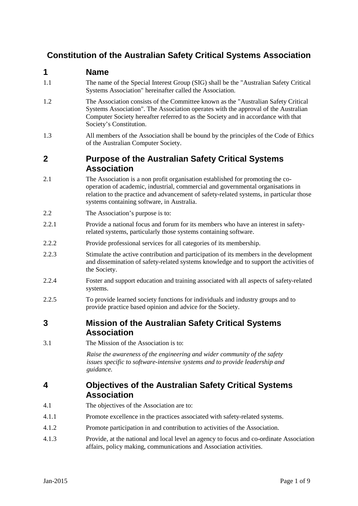# **Constitution of the Australian Safety Critical Systems Association**

#### **1 Name**

- 1.1 The name of the Special Interest Group (SIG) shall be the "Australian Safety Critical Systems Association" hereinafter called the Association.
- 1.2 The Association consists of the Committee known as the "Australian Safety Critical Systems Association". The Association operates with the approval of the Australian Computer Society hereafter referred to as the Society and in accordance with that Society's Constitution.
- 1.3 All members of the Association shall be bound by the principles of the Code of Ethics of the Australian Computer Society.

# **2 Purpose of the Australian Safety Critical Systems Association**

- 2.1 The Association is a non profit organisation established for promoting the cooperation of academic, industrial, commercial and governmental organisations in relation to the practice and advancement of safety-related systems, in particular those systems containing software, in Australia.
- 2.2 The Association's purpose is to:
- 2.2.1 Provide a national focus and forum for its members who have an interest in safetyrelated systems, particularly those systems containing software.
- 2.2.2 Provide professional services for all categories of its membership.
- 2.2.3 Stimulate the active contribution and participation of its members in the development and dissemination of safety-related systems knowledge and to support the activities of the Society.
- 2.2.4 Foster and support education and training associated with all aspects of safety-related systems.
- 2.2.5 To provide learned society functions for individuals and industry groups and to provide practice based opinion and advice for the Society.

### **3 Mission of the Australian Safety Critical Systems Association**

3.1 The Mission of the Association is to:

*Raise the awareness of the engineering and wider community of the safety issues specific to software-intensive systems and to provide leadership and guidance.*

### **4 Objectives of the Australian Safety Critical Systems Association**

- 4.1 The objectives of the Association are to:
- 4.1.1 Promote excellence in the practices associated with safety-related systems.
- 4.1.2 Promote participation in and contribution to activities of the Association.
- 4.1.3 Provide, at the national and local level an agency to focus and co-ordinate Association affairs, policy making, communications and Association activities.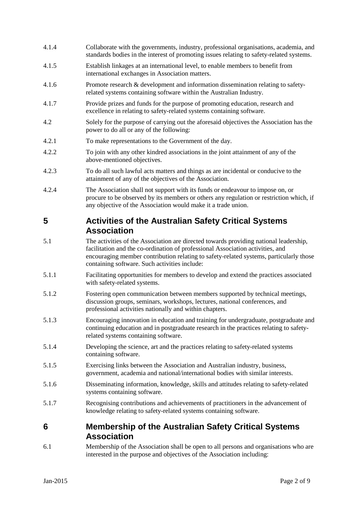- 4.1.4 Collaborate with the governments, industry, professional organisations, academia, and standards bodies in the interest of promoting issues relating to safety-related systems.
- 4.1.5 Establish linkages at an international level, to enable members to benefit from international exchanges in Association matters.
- 4.1.6 Promote research & development and information dissemination relating to safetyrelated systems containing software within the Australian Industry.
- 4.1.7 Provide prizes and funds for the purpose of promoting education, research and excellence in relating to safety-related systems containing software.
- 4.2 Solely for the purpose of carrying out the aforesaid objectives the Association has the power to do all or any of the following:
- 4.2.1 To make representations to the Government of the day.
- 4.2.2 To join with any other kindred associations in the joint attainment of any of the above-mentioned objectives.
- 4.2.3 To do all such lawful acts matters and things as are incidental or conducive to the attainment of any of the objectives of the Association.
- 4.2.4 The Association shall not support with its funds or endeavour to impose on, or procure to be observed by its members or others any regulation or restriction which, if any objective of the Association would make it a trade union.

### **5 Activities of the Australian Safety Critical Systems Association**

- 5.1 The activities of the Association are directed towards providing national leadership, facilitation and the co-ordination of professional Association activities, and encouraging member contribution relating to safety-related systems, particularly those containing software. Such activities include:
- 5.1.1 Facilitating opportunities for members to develop and extend the practices associated with safety-related systems.
- 5.1.2 Fostering open communication between members supported by technical meetings, discussion groups, seminars, workshops, lectures, national conferences, and professional activities nationally and within chapters.
- 5.1.3 Encouraging innovation in education and training for undergraduate, postgraduate and continuing education and in postgraduate research in the practices relating to safetyrelated systems containing software.
- 5.1.4 Developing the science, art and the practices relating to safety-related systems containing software.
- 5.1.5 Exercising links between the Association and Australian industry, business, government, academia and national/international bodies with similar interests.
- 5.1.6 Disseminating information, knowledge, skills and attitudes relating to safety-related systems containing software.
- 5.1.7 Recognising contributions and achievements of practitioners in the advancement of knowledge relating to safety-related systems containing software.

### **6 Membership of the Australian Safety Critical Systems Association**

6.1 Membership of the Association shall be open to all persons and organisations who are interested in the purpose and objectives of the Association including: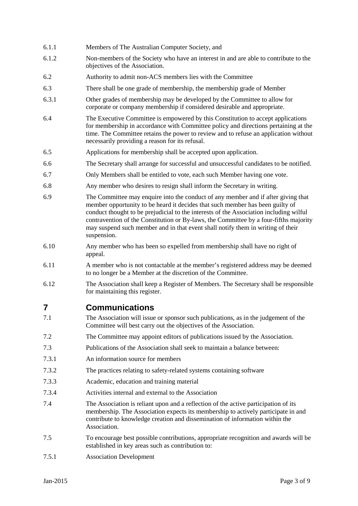- 6.1.1 Members of The Australian Computer Society, and
- 6.1.2 Non-members of the Society who have an interest in and are able to contribute to the objectives of the Association.
- 6.2 Authority to admit non-ACS members lies with the Committee
- 6.3 There shall be one grade of membership, the membership grade of Member
- 6.3.1 Other grades of membership may be developed by the Committee to allow for corporate or company membership if considered desirable and appropriate.
- 6.4 The Executive Committee is empowered by this Constitution to accept applications for membership in accordance with Committee policy and directions pertaining at the time. The Committee retains the power to review and to refuse an application without necessarily providing a reason for its refusal.
- 6.5 Applications for membership shall be accepted upon application.
- 6.6 The Secretary shall arrange for successful and unsuccessful candidates to be notified.
- 6.7 Only Members shall be entitled to vote, each such Member having one vote.
- 6.8 Any member who desires to resign shall inform the Secretary in writing.
- 6.9 The Committee may enquire into the conduct of any member and if after giving that member opportunity to be heard it decides that such member has been guilty of conduct thought to be prejudicial to the interests of the Association including wilful contravention of the Constitution or By-laws, the Committee by a four-fifths majority may suspend such member and in that event shall notify them in writing of their suspension.
- 6.10 Any member who has been so expelled from membership shall have no right of appeal.
- 6.11 A member who is not contactable at the member's registered address may be deemed to no longer be a Member at the discretion of the Committee.
- 6.12 The Association shall keep a Register of Members. The Secretary shall be responsible for maintaining this register.

#### **7 Communications**

- 7.1 The Association will issue or sponsor such publications, as in the judgement of the Committee will best carry out the objectives of the Association.
- 7.2 The Committee may appoint editors of publications issued by the Association.
- 7.3 Publications of the Association shall seek to maintain a balance between:
- 7.3.1 An information source for members
- 7.3.2 The practices relating to safety-related systems containing software
- 7.3.3 Academic, education and training material
- 7.3.4 Activities internal and external to the Association
- 7.4 The Association is reliant upon and a reflection of the active participation of its membership. The Association expects its membership to actively participate in and contribute to knowledge creation and dissemination of information within the Association.
- 7.5 To encourage best possible contributions, appropriate recognition and awards will be established in key areas such as contribution to:
- 7.5.1 Association Development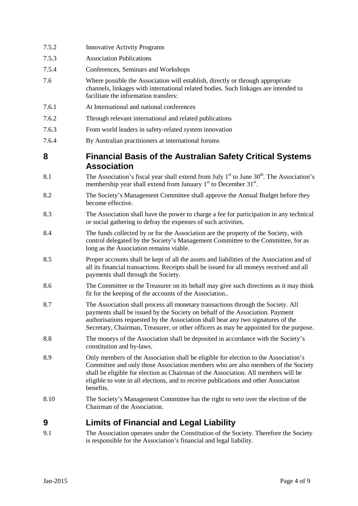| 7.5.2 | <b>Innovative Activity Programs</b>                                                                                                                                                                                                                                                                                                                                |
|-------|--------------------------------------------------------------------------------------------------------------------------------------------------------------------------------------------------------------------------------------------------------------------------------------------------------------------------------------------------------------------|
| 7.5.3 | <b>Association Publications</b>                                                                                                                                                                                                                                                                                                                                    |
| 7.5.4 | Conferences, Seminars and Workshops                                                                                                                                                                                                                                                                                                                                |
| 7.6   | Where possible the Association will establish, directly or through appropriate<br>channels, linkages with international related bodies. Such linkages are intended to<br>facilitate the information transfers:                                                                                                                                                     |
| 7.6.1 | At International and national conferences                                                                                                                                                                                                                                                                                                                          |
| 7.6.2 | Through relevant international and related publications                                                                                                                                                                                                                                                                                                            |
| 7.6.3 | From world leaders in safety-related system innovation                                                                                                                                                                                                                                                                                                             |
| 7.6.4 | By Australian practitioners at international forums                                                                                                                                                                                                                                                                                                                |
| 8     | <b>Financial Basis of the Australian Safety Critical Systems</b><br><b>Association</b>                                                                                                                                                                                                                                                                             |
| 8.1   | The Association's fiscal year shall extend from July $1st$ to June 30 <sup>th</sup> . The Association's<br>membership year shall extend from January $1st$ to December 31 <sup>st</sup> .                                                                                                                                                                          |
| 8.2   | The Society's Management Committee shall approve the Annual Budget before they<br>become effective.                                                                                                                                                                                                                                                                |
| 8.3   | The Association shall have the power to charge a fee for participation in any technical<br>or social gathering to defray the expenses of such activities.                                                                                                                                                                                                          |
| 8.4   | The funds collected by or for the Association are the property of the Society, with<br>control delegated by the Society's Management Committee to the Committee, for as<br>long as the Association remains viable.                                                                                                                                                 |
| 8.5   | Proper accounts shall be kept of all the assets and liabilities of the Association and of<br>all its financial transactions. Receipts shall be issued for all moneys received and all<br>payments shall through the Society.                                                                                                                                       |
| 8.6   | The Committee or the Treasurer on its behalf may give such directions as it may think<br>fit for the keeping of the accounts of the Association                                                                                                                                                                                                                    |
| 8.7   | The Association shall process all monetary transactions through the Society. All<br>payments shall be issued by the Society on behalf of the Association. Payment<br>authorisations requested by the Association shall bear any two signatures of the<br>Secretary, Chairman, Treasurer, or other officers as may be appointed for the purpose.                    |
| 8.8   | The moneys of the Association shall be deposited in accordance with the Society's<br>constitution and by-laws.                                                                                                                                                                                                                                                     |
| 8.9   | Only members of the Association shall be eligible for election to the Association's<br>Committee and only those Association members who are also members of the Society<br>shall be eligible for election as Chairman of the Association. All members will be<br>eligible to vote in all elections, and to receive publications and other Association<br>benefits. |
| 8.10  | The Society's Management Committee has the right to veto over the election of the<br>Chairman of the Association.                                                                                                                                                                                                                                                  |
| 9     | <b>Limits of Financial and Legal Liability</b>                                                                                                                                                                                                                                                                                                                     |
|       |                                                                                                                                                                                                                                                                                                                                                                    |

9.1 The Association operates under the Constitution of the Society. Therefore the Society is responsible for the Association's financial and legal liability.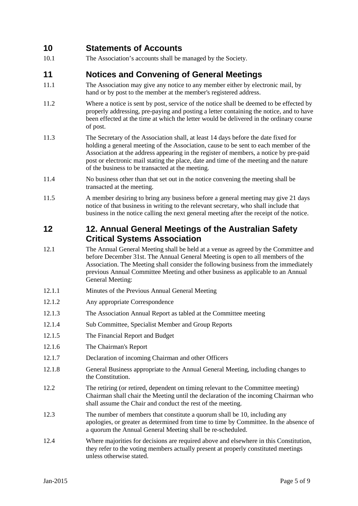# **10 Statements of Accounts**

10.1 The Association's accounts shall be managed by the Society.

### **11 Notices and Convening of General Meetings**

- 11.1 The Association may give any notice to any member either by electronic mail, by hand or by post to the member at the member's registered address.
- 11.2 Where a notice is sent by post, service of the notice shall be deemed to be effected by properly addressing, pre-paying and posting a letter containing the notice, and to have been effected at the time at which the letter would be delivered in the ordinary course of post.
- 11.3 The Secretary of the Association shall, at least 14 days before the date fixed for holding a general meeting of the Association, cause to be sent to each member of the Association at the address appearing in the register of members, a notice by pre-paid post or electronic mail stating the place, date and time of the meeting and the nature of the business to be transacted at the meeting.
- 11.4 No business other than that set out in the notice convening the meeting shall be transacted at the meeting.
- 11.5 A member desiring to bring any business before a general meeting may give 21 days notice of that business in writing to the relevant secretary, who shall include that business in the notice calling the next general meeting after the receipt of the notice.

### **12 12. Annual General Meetings of the Australian Safety Critical Systems Association**

- 12.1 The Annual General Meeting shall be held at a venue as agreed by the Committee and before December 31st. The Annual General Meeting is open to all members of the Association. The Meeting shall consider the following business from the immediately previous Annual Committee Meeting and other business as applicable to an Annual General Meeting:
- 12.1.1 Minutes of the Previous Annual General Meeting
- 12.1.2 Any appropriate Correspondence
- 12.1.3 The Association Annual Report as tabled at the Committee meeting
- 12.1.4 Sub Committee, Specialist Member and Group Reports
- 12.1.5 The Financial Report and Budget
- 12.1.6 The Chairman's Report
- 12.1.7 Declaration of incoming Chairman and other Officers
- 12.1.8 General Business appropriate to the Annual General Meeting, including changes to the Constitution.
- 12.2 The retiring (or retired, dependent on timing relevant to the Committee meeting) Chairman shall chair the Meeting until the declaration of the incoming Chairman who shall assume the Chair and conduct the rest of the meeting.
- 12.3 The number of members that constitute a quorum shall be 10, including any apologies, or greater as determined from time to time by Committee. In the absence of a quorum the Annual General Meeting shall be re-scheduled.
- 12.4 Where majorities for decisions are required above and elsewhere in this Constitution, they refer to the voting members actually present at properly constituted meetings unless otherwise stated.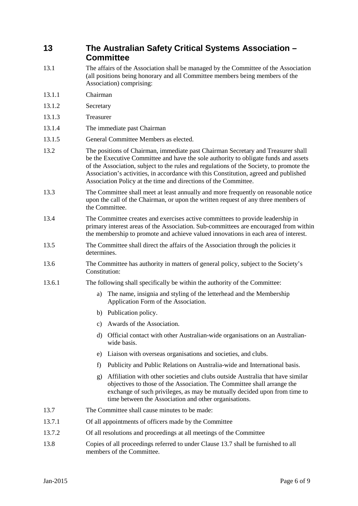# **13 The Australian Safety Critical Systems Association – Committee**

- 13.1 The affairs of the Association shall be managed by the Committee of the Association (all positions being honorary and all Committee members being members of the Association) comprising:
- 13.1.1 Chairman
- 13.1.2 Secretary
- 13.1.3 Treasurer
- 13.1.4 The immediate past Chairman
- 13.1.5 General Committee Members as elected.
- 13.2 The positions of Chairman, immediate past Chairman Secretary and Treasurer shall be the Executive Committee and have the sole authority to obligate funds and assets of the Association, subject to the rules and regulations of the Society, to promote the Association's activities, in accordance with this Constitution, agreed and published Association Policy at the time and directions of the Committee.
- 13.3 The Committee shall meet at least annually and more frequently on reasonable notice upon the call of the Chairman, or upon the written request of any three members of the Committee.
- 13.4 The Committee creates and exercises active committees to provide leadership in primary interest areas of the Association. Sub-committees are encouraged from within the membership to promote and achieve valued innovations in each area of interest.
- 13.5 The Committee shall direct the affairs of the Association through the policies it determines.
- 13.6 The Committee has authority in matters of general policy, subject to the Society's Constitution:
- 13.6.1 The following shall specifically be within the authority of the Committee:
	- a) The name, insignia and styling of the letterhead and the Membership Application Form of the Association.
	- b) Publication policy.
	- c) Awards of the Association.
	- d) Official contact with other Australian-wide organisations on an Australianwide basis.
	- e) Liaison with overseas organisations and societies, and clubs.
	- f) Publicity and Public Relations on Australia-wide and International basis.
	- g) Affiliation with other societies and clubs outside Australia that have similar objectives to those of the Association. The Committee shall arrange the exchange of such privileges, as may be mutually decided upon from time to time between the Association and other organisations.
- 13.7 The Committee shall cause minutes to be made:
- 13.7.1 Of all appointments of officers made by the Committee
- 13.7.2 Of all resolutions and proceedings at all meetings of the Committee
- 13.8 Copies of all proceedings referred to under Clause 13.7 shall be furnished to all members of the Committee.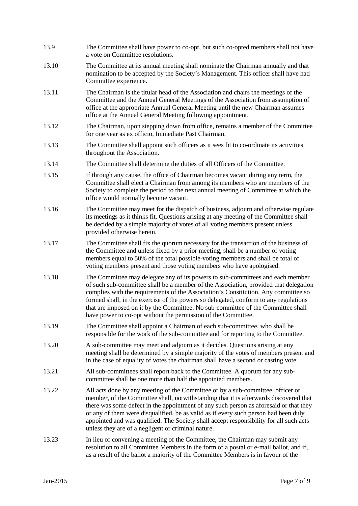- 13.9 The Committee shall have power to co-opt, but such co-opted members shall not have a vote on Committee resolutions.
- 13.10 The Committee at its annual meeting shall nominate the Chairman annually and that nomination to be accepted by the Society's Management. This officer shall have had Committee experience.
- 13.11 The Chairman is the titular head of the Association and chairs the meetings of the Committee and the Annual General Meetings of the Association from assumption of office at the appropriate Annual General Meeting until the new Chairman assumes office at the Annual General Meeting following appointment.
- 13.12 The Chairman, upon stepping down from office, remains a member of the Committee for one year as ex officio, Immediate Past Chairman.
- 13.13 The Committee shall appoint such officers as it sees fit to co-ordinate its activities throughout the Association.
- 13.14 The Committee shall determine the duties of all Officers of the Committee.
- 13.15 If through any cause, the office of Chairman becomes vacant during any term, the Committee shall elect a Chairman from among its members who are members of the Society to complete the period to the next annual meeting of Committee at which the office would normally become vacant.
- 13.16 The Committee may meet for the dispatch of business, adjourn and otherwise regulate its meetings as it thinks fit. Questions arising at any meeting of the Committee shall be decided by a simple majority of votes of all voting members present unless provided otherwise herein.
- 13.17 The Committee shall fix the quorum necessary for the transaction of the business of the Committee and unless fixed by a prior meeting, shall be a number of voting members equal to 50% of the total possible-voting members and shall be total of voting members present and those voting members who have apologised.
- 13.18 The Committee may delegate any of its powers to sub-committees and each member of such sub-committee shall be a member of the Association, provided that delegation complies with the requirements of the Association's Constitution. Any committee so formed shall, in the exercise of the powers so delegated, conform to any regulations that are imposed on it by the Committee. No sub-committee of the Committee shall have power to co-opt without the permission of the Committee.
- 13.19 The Committee shall appoint a Chairman of each sub-committee, who shall be responsible for the work of the sub-committee and for reporting to the Committee.
- 13.20 A sub-committee may meet and adjourn as it decides. Questions arising at any meeting shall be determined by a simple majority of the votes of members present and in the case of equality of votes the chairman shall have a second or casting vote.
- 13.21 All sub-committees shall report back to the Committee. A quorum for any subcommittee shall be one more than half the appointed members.
- 13.22 All acts done by any meeting of the Committee or by a sub-committee, officer or member, of the Committee shall, notwithstanding that it is afterwards discovered that there was some defect in the appointment of any such person as aforesaid or that they or any of them were disqualified, be as valid as if every such person had been duly appointed and was qualified. The Society shall accept responsibility for all such acts unless they are of a negligent or criminal nature.
- 13.23 In lieu of convening a meeting of the Committee, the Chairman may submit any resolution to all Committee Members in the form of a postal or e-mail ballot, and if, as a result of the ballot a majority of the Committee Members is in favour of the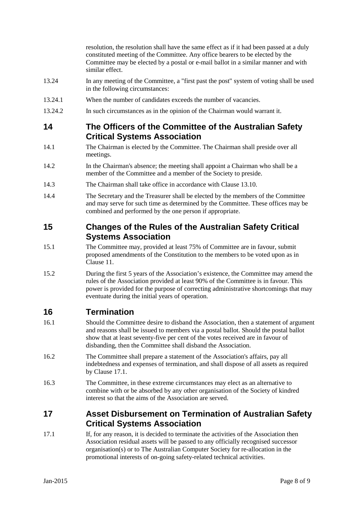resolution, the resolution shall have the same effect as if it had been passed at a duly constituted meeting of the Committee. Any office bearers to be elected by the Committee may be elected by a postal or e-mail ballot in a similar manner and with similar effect.

- 13.24 In any meeting of the Committee, a "first past the post" system of voting shall be used in the following circumstances:
- 13.24.1 When the number of candidates exceeds the number of vacancies.
- 13.24.2 In such circumstances as in the opinion of the Chairman would warrant it.

#### **14 The Officers of the Committee of the Australian Safety Critical Systems Association**

- 14.1 The Chairman is elected by the Committee. The Chairman shall preside over all meetings.
- 14.2 In the Chairman's absence; the meeting shall appoint a Chairman who shall be a member of the Committee and a member of the Society to preside.
- 14.3 The Chairman shall take office in accordance with Clause 13.10.
- 14.4 The Secretary and the Treasurer shall be elected by the members of the Committee and may serve for such time as determined by the Committee. These offices may be combined and performed by the one person if appropriate.

### **15 Changes of the Rules of the Australian Safety Critical Systems Association**

- 15.1 The Committee may, provided at least 75% of Committee are in favour, submit proposed amendments of the Constitution to the members to be voted upon as in Clause 11.
- 15.2 During the first 5 years of the Association's existence, the Committee may amend the rules of the Association provided at least 90% of the Committee is in favour. This power is provided for the purpose of correcting administrative shortcomings that may eventuate during the initial years of operation.

# **16 Termination**

- 16.1 Should the Committee desire to disband the Association, then a statement of argument and reasons shall be issued to members via a postal ballot. Should the postal ballot show that at least seventy-five per cent of the votes received are in favour of disbanding, then the Committee shall disband the Association.
- 16.2 The Committee shall prepare a statement of the Association's affairs, pay all indebtedness and expenses of termination, and shall dispose of all assets as required by Clause 17.1.
- 16.3 The Committee, in these extreme circumstances may elect as an alternative to combine with or be absorbed by any other organisation of the Society of kindred interest so that the aims of the Association are served.

# **17 Asset Disbursement on Termination of Australian Safety Critical Systems Association**

17.1 If, for any reason, it is decided to terminate the activities of the Association then Association residual assets will be passed to any officially recognised successor organisation(s) or to The Australian Computer Society for re-allocation in the promotional interests of on-going safety-related technical activities.